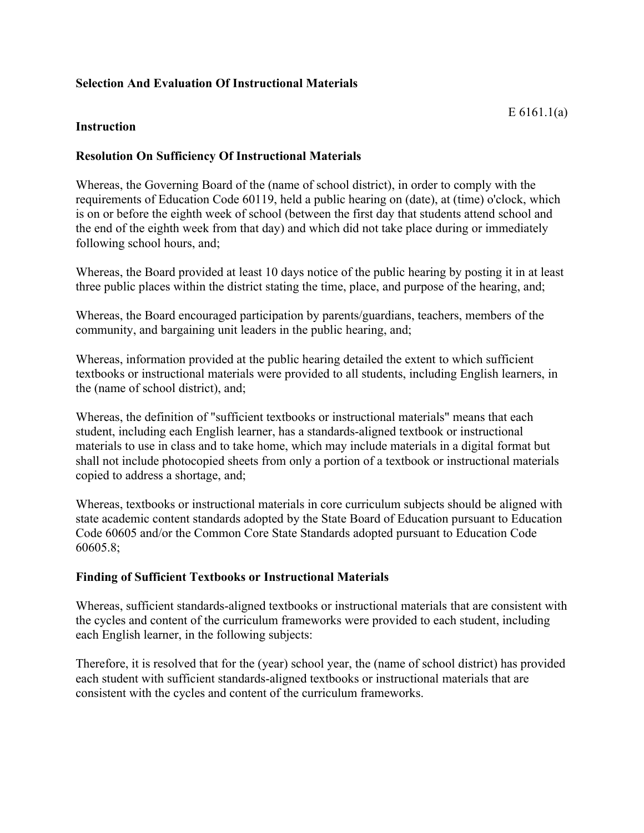# **Selection And Evaluation Of Instructional Materials**

### **Instruction**

## **Resolution On Sufficiency Of Instructional Materials**

Whereas, the Governing Board of the (name of school district), in order to comply with the requirements of Education Code 60119, held a public hearing on (date), at (time) o'clock, which is on or before the eighth week of school (between the first day that students attend school and the end of the eighth week from that day) and which did not take place during or immediately following school hours, and;

Whereas, the Board provided at least 10 days notice of the public hearing by posting it in at least three public places within the district stating the time, place, and purpose of the hearing, and;

Whereas, the Board encouraged participation by parents/guardians, teachers, members of the community, and bargaining unit leaders in the public hearing, and;

Whereas, information provided at the public hearing detailed the extent to which sufficient textbooks or instructional materials were provided to all students, including English learners, in the (name of school district), and;

Whereas, the definition of "sufficient textbooks or instructional materials" means that each student, including each English learner, has a standards-aligned textbook or instructional materials to use in class and to take home, which may include materials in a digital format but shall not include photocopied sheets from only a portion of a textbook or instructional materials copied to address a shortage, and;

Whereas, textbooks or instructional materials in core curriculum subjects should be aligned with state academic content standards adopted by the State Board of Education pursuant to Education Code 60605 and/or the Common Core State Standards adopted pursuant to Education Code 60605.8;

# **Finding of Sufficient Textbooks or Instructional Materials**

Whereas, sufficient standards-aligned textbooks or instructional materials that are consistent with the cycles and content of the curriculum frameworks were provided to each student, including each English learner, in the following subjects:

Therefore, it is resolved that for the (year) school year, the (name of school district) has provided each student with sufficient standards-aligned textbooks or instructional materials that are consistent with the cycles and content of the curriculum frameworks.